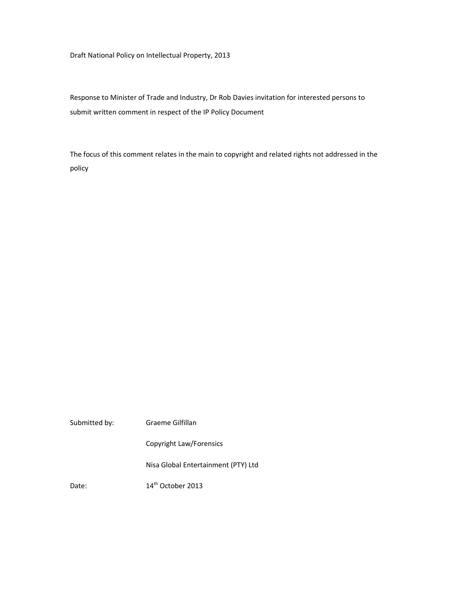Draft National Policy on Intellectual Property, 2013

Response to Minister of Trade and Industry, Dr Rob Davies invitation for interested persons to submit written comment in respect of the IP Policy Document

The focus of this comment relates in the main to copyright and related rights not addressed in the policy

| Submitted by: | Graeme Gilfillan                    |
|---------------|-------------------------------------|
|               | Copyright Law/Forensics             |
|               | Nisa Global Entertainment (PTY) Ltd |
| Date:         | 14 <sup>th</sup> October 2013       |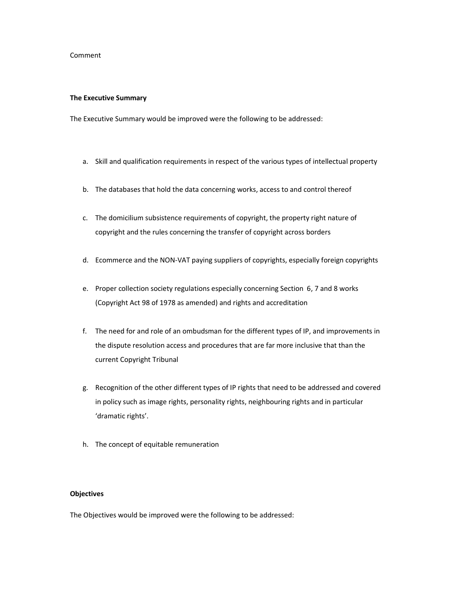### Comment

### **The Executive Summary**

The Executive Summary would be improved were the following to be addressed:

- a. Skill and qualification requirements in respect of the various types of intellectual property
- b. The databases that hold the data concerning works, access to and control thereof
- c. The domicilium subsistence requirements of copyright, the property right nature of copyright and the rules concerning the transfer of copyright across borders
- d. Ecommerce and the NON-VAT paying suppliers of copyrights, especially foreign copyrights
- e. Proper collection society regulations especially concerning Section 6, 7 and 8 works (Copyright Act 98 of 1978 as amended) and rights and accreditation
- f. The need for and role of an ombudsman for the different types of IP, and improvements in the dispute resolution access and procedures that are far more inclusive that than the current Copyright Tribunal
- g. Recognition of the other different types of IP rights that need to be addressed and covered in policy such as image rights, personality rights, neighbouring rights and in particular 'dramatic rights'.
- h. The concept of equitable remuneration

### **Objectives**

The Objectives would be improved were the following to be addressed: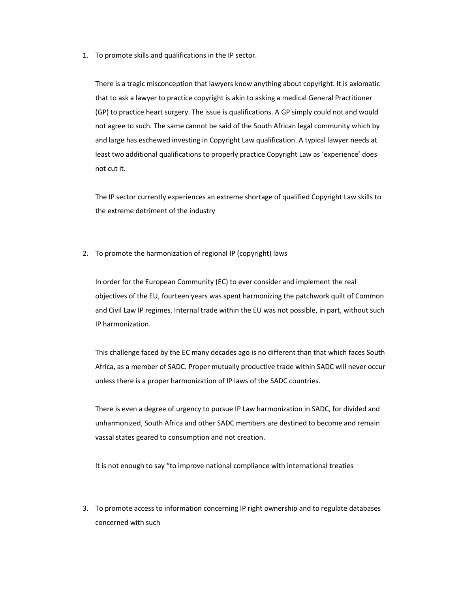1. To promote skills and qualifications in the IP sector.

There is a tragic misconception that lawyers know anything about copyright. It is axiomatic that to ask a lawyer to practice copyright is akin to asking a medical General Practitioner (GP) to practice heart surgery. The issue is qualifications. A GP simply could not and would not agree to such. The same cannot be said of the South African legal community which by and large has eschewed investing in Copyright Law qualification. A typical lawyer needs at least two additional qualifications to properly practice Copyright Law as 'experience' does not cut it.

The IP sector currently experiences an extreme shortage of qualified Copyright Law skills to the extreme detriment of the industry

2. To promote the harmonization of regional IP (copyright) laws

In order for the European Community (EC) to ever consider and implement the real objectives of the EU, fourteen years was spent harmonizing the patchwork quilt of Common and Civil Law IP regimes. Internal trade within the EU was not possible, in part, without such IP harmonization.

This challenge faced by the EC many decades ago is no different than that which faces South Africa, as a member of SADC. Proper mutually productive trade within SADC will never occur unless there is a proper harmonization of IP laws of the SADC countries.

There is even a degree of urgency to pursue IP Law harmonization in SADC, for divided and unharmonized, South Africa and other SADC members are destined to become and remain vassal states geared to consumption and not creation.

It is not enough to say "to improve national compliance with international treaties

3. To promote access to information concerning IP right ownership and to regulate databases concerned with such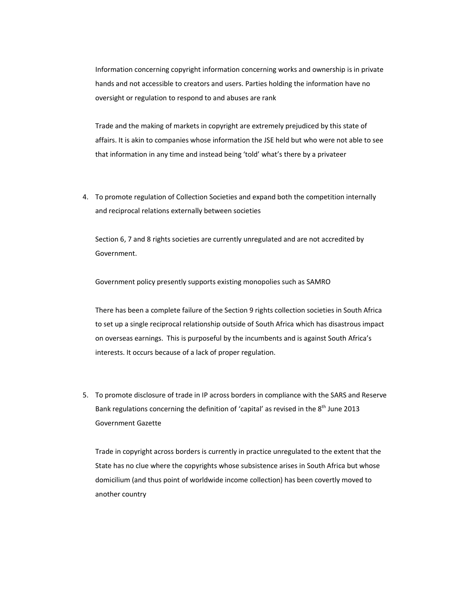Information concerning copyright information concerning works and ownership is in private hands and not accessible to creators and users. Parties holding the information have no oversight or regulation to respond to and abuses are rank

Trade and the making of markets in copyright are extremely prejudiced by this state of affairs. It is akin to companies whose information the JSE held but who were not able to see that information in any time and instead being 'told' what's there by a privateer

4. To promote regulation of Collection Societies and expand both the competition internally and reciprocal relations externally between societies

Section 6, 7 and 8 rights societies are currently unregulated and are not accredited by Government.

Government policy presently supports existing monopolies such as SAMRO

There has been a complete failure of the Section 9 rights collection societies in South Africa to set up a single reciprocal relationship outside of South Africa which has disastrous impact on overseas earnings. This is purposeful by the incumbents and is against South Africa's interests. It occurs because of a lack of proper regulation.

5. To promote disclosure of trade in IP across borders in compliance with the SARS and Reserve Bank regulations concerning the definition of 'capital' as revised in the 8<sup>th</sup> June 2013 Government Gazette

Trade in copyright across borders is currently in practice unregulated to the extent that the State has no clue where the copyrights whose subsistence arises in South Africa but whose domicilium (and thus point of worldwide income collection) has been covertly moved to another country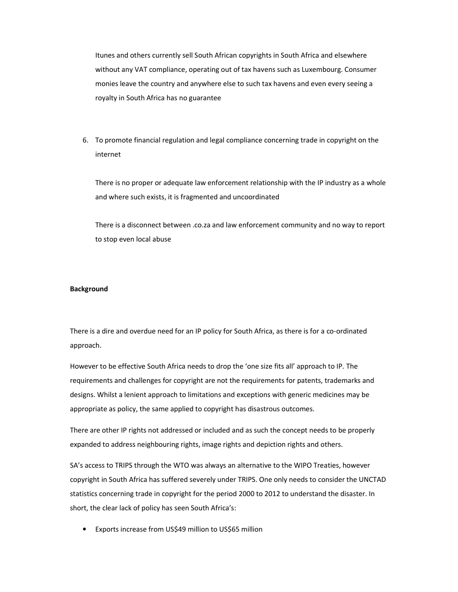Itunes and others currently sell South African copyrights in South Africa and elsewhere without any VAT compliance, operating out of tax havens such as Luxembourg. Consumer monies leave the country and anywhere else to such tax havens and even every seeing a royalty in South Africa has no guarantee

6. To promote financial regulation and legal compliance concerning trade in copyright on the internet

There is no proper or adequate law enforcement relationship with the IP industry as a whole and where such exists, it is fragmented and uncoordinated

There is a disconnect between .co.za and law enforcement community and no way to report to stop even local abuse

## **Background**

There is a dire and overdue need for an IP policy for South Africa, as there is for a co-ordinated approach.

However to be effective South Africa needs to drop the 'one size fits all' approach to IP. The requirements and challenges for copyright are not the requirements for patents, trademarks and designs. Whilst a lenient approach to limitations and exceptions with generic medicines may be appropriate as policy, the same applied to copyright has disastrous outcomes.

There are other IP rights not addressed or included and as such the concept needs to be properly expanded to address neighbouring rights, image rights and depiction rights and others.

SA's access to TRIPS through the WTO was always an alternative to the WIPO Treaties, however copyright in South Africa has suffered severely under TRIPS. One only needs to consider the UNCTAD statistics concerning trade in copyright for the period 2000 to 2012 to understand the disaster. In short, the clear lack of policy has seen South Africa's:

• Exports increase from US\$49 million to US\$65 million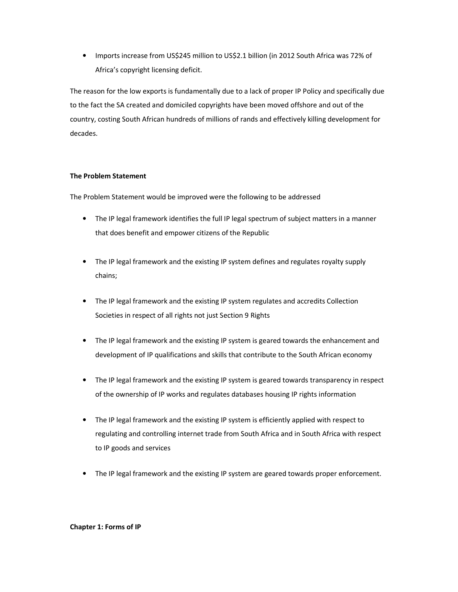• Imports increase from US\$245 million to US\$2.1 billion (in 2012 South Africa was 72% of Africa's copyright licensing deficit.

The reason for the low exports is fundamentally due to a lack of proper IP Policy and specifically due to the fact the SA created and domiciled copyrights have been moved offshore and out of the country, costing South African hundreds of millions of rands and effectively killing development for decades.

# **The Problem Statement**

The Problem Statement would be improved were the following to be addressed

- The IP legal framework identifies the full IP legal spectrum of subject matters in a manner that does benefit and empower citizens of the Republic
- The IP legal framework and the existing IP system defines and regulates royalty supply chains;
- The IP legal framework and the existing IP system regulates and accredits Collection Societies in respect of all rights not just Section 9 Rights
- The IP legal framework and the existing IP system is geared towards the enhancement and development of IP qualifications and skills that contribute to the South African economy
- The IP legal framework and the existing IP system is geared towards transparency in respect of the ownership of IP works and regulates databases housing IP rights information
- The IP legal framework and the existing IP system is efficiently applied with respect to regulating and controlling internet trade from South Africa and in South Africa with respect to IP goods and services
- The IP legal framework and the existing IP system are geared towards proper enforcement.

## **Chapter 1: Forms of IP**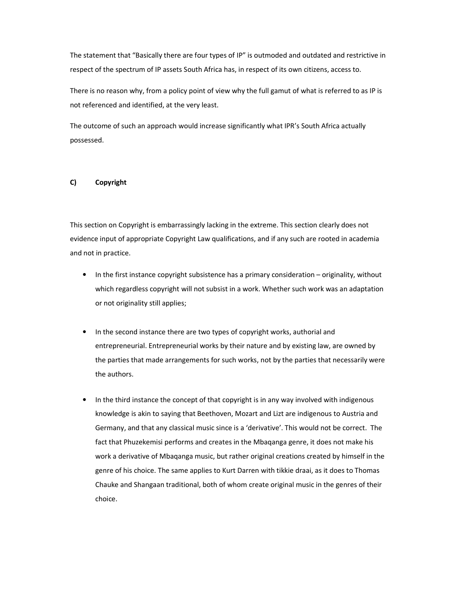The statement that "Basically there are four types of IP" is outmoded and outdated and restrictive in respect of the spectrum of IP assets South Africa has, in respect of its own citizens, access to.

There is no reason why, from a policy point of view why the full gamut of what is referred to as IP is not referenced and identified, at the very least.

The outcome of such an approach would increase significantly what IPR's South Africa actually possessed.

## **C) Copyright**

This section on Copyright is embarrassingly lacking in the extreme. This section clearly does not evidence input of appropriate Copyright Law qualifications, and if any such are rooted in academia and not in practice.

- In the first instance copyright subsistence has a primary consideration originality, without which regardless copyright will not subsist in a work. Whether such work was an adaptation or not originality still applies;
- In the second instance there are two types of copyright works, authorial and entrepreneurial. Entrepreneurial works by their nature and by existing law, are owned by the parties that made arrangements for such works, not by the parties that necessarily were the authors.
- In the third instance the concept of that copyright is in any way involved with indigenous knowledge is akin to saying that Beethoven, Mozart and Lizt are indigenous to Austria and Germany, and that any classical music since is a 'derivative'. This would not be correct. The fact that Phuzekemisi performs and creates in the Mbaqanga genre, it does not make his work a derivative of Mbaqanga music, but rather original creations created by himself in the genre of his choice. The same applies to Kurt Darren with tikkie draai, as it does to Thomas Chauke and Shangaan traditional, both of whom create original music in the genres of their choice.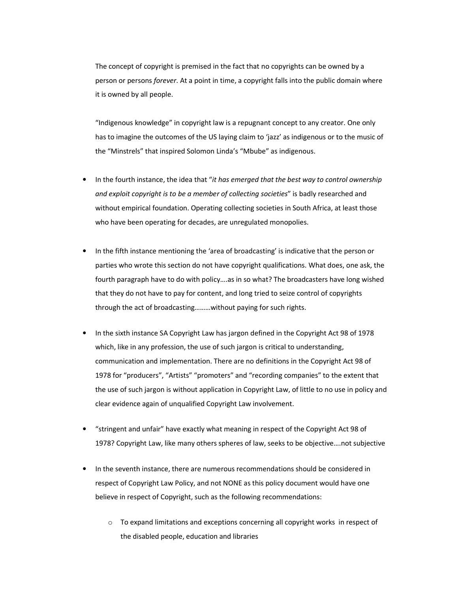The concept of copyright is premised in the fact that no copyrights can be owned by a person or persons *forever*. At a point in time, a copyright falls into the public domain where it is owned by all people.

"Indigenous knowledge" in copyright law is a repugnant concept to any creator. One only has to imagine the outcomes of the US laying claim to 'jazz' as indigenous or to the music of the "Minstrels" that inspired Solomon Linda's "Mbube" as indigenous.

- In the fourth instance, the idea that "*it has emerged that the best way to control ownership and exploit copyright is to be a member of collecting societies*" is badly researched and without empirical foundation. Operating collecting societies in South Africa, at least those who have been operating for decades, are unregulated monopolies.
- In the fifth instance mentioning the 'area of broadcasting' is indicative that the person or parties who wrote this section do not have copyright qualifications. What does, one ask, the fourth paragraph have to do with policy….as in so what? The broadcasters have long wished that they do not have to pay for content, and long tried to seize control of copyrights through the act of broadcasting………without paying for such rights.
- In the sixth instance SA Copyright Law has jargon defined in the Copyright Act 98 of 1978 which, like in any profession, the use of such jargon is critical to understanding, communication and implementation. There are no definitions in the Copyright Act 98 of 1978 for "producers", "Artists" "promoters" and "recording companies" to the extent that the use of such jargon is without application in Copyright Law, of little to no use in policy and clear evidence again of unqualified Copyright Law involvement.
- "stringent and unfair" have exactly what meaning in respect of the Copyright Act 98 of 1978? Copyright Law, like many others spheres of law, seeks to be objective….not subjective
- In the seventh instance, there are numerous recommendations should be considered in respect of Copyright Law Policy, and not NONE as this policy document would have one believe in respect of Copyright, such as the following recommendations:
	- $\circ$  To expand limitations and exceptions concerning all copyright works in respect of the disabled people, education and libraries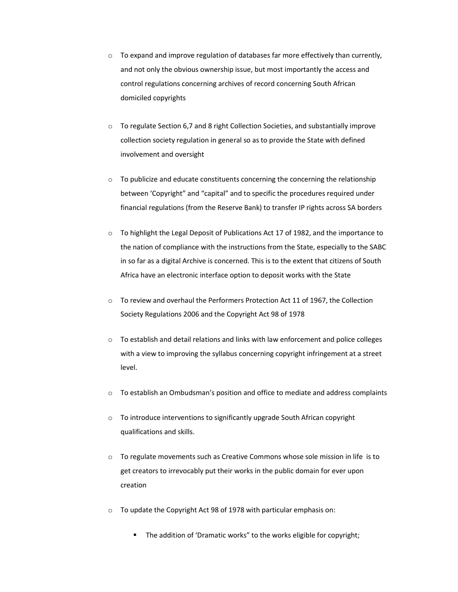- $\circ$  To expand and improve regulation of databases far more effectively than currently, and not only the obvious ownership issue, but most importantly the access and control regulations concerning archives of record concerning South African domiciled copyrights
- $\circ$  To regulate Section 6,7 and 8 right Collection Societies, and substantially improve collection society regulation in general so as to provide the State with defined involvement and oversight
- $\circ$  To publicize and educate constituents concerning the concerning the relationship between 'Copyright" and "capital" and to specific the procedures required under financial regulations (from the Reserve Bank) to transfer IP rights across SA borders
- o To highlight the Legal Deposit of Publications Act 17 of 1982, and the importance to the nation of compliance with the instructions from the State, especially to the SABC in so far as a digital Archive is concerned. This is to the extent that citizens of South Africa have an electronic interface option to deposit works with the State
- o To review and overhaul the Performers Protection Act 11 of 1967, the Collection Society Regulations 2006 and the Copyright Act 98 of 1978
- $\circ$  To establish and detail relations and links with law enforcement and police colleges with a view to improving the syllabus concerning copyright infringement at a street level.
- $\circ$  To establish an Ombudsman's position and office to mediate and address complaints
- o To introduce interventions to significantly upgrade South African copyright qualifications and skills.
- $\circ$  To regulate movements such as Creative Commons whose sole mission in life is to get creators to irrevocably put their works in the public domain for ever upon creation
- o To update the Copyright Act 98 of 1978 with particular emphasis on:
	- The addition of 'Dramatic works" to the works eligible for copyright;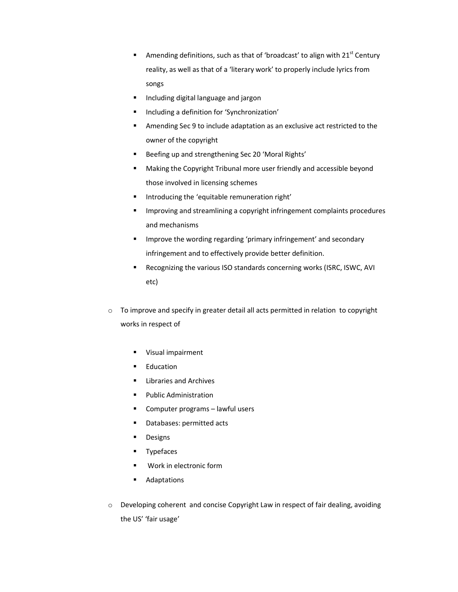- Amending definitions, such as that of 'broadcast' to align with  $21<sup>st</sup>$  Century reality, as well as that of a 'literary work' to properly include lyrics from songs
- **Including digital language and jargon**
- **Including a definition for 'Synchronization'**
- Amending Sec 9 to include adaptation as an exclusive act restricted to the owner of the copyright
- Beefing up and strengthening Sec 20 'Moral Rights'
- Making the Copyright Tribunal more user friendly and accessible beyond those involved in licensing schemes
- **Introducing the 'equitable remuneration right'**
- **IMPROVING And STEET ING.** Improving a copyright infringement complaints procedures and mechanisms
- Improve the wording regarding 'primary infringement' and secondary infringement and to effectively provide better definition.
- Recognizing the various ISO standards concerning works (ISRC, ISWC, AVI etc)
- o To improve and specify in greater detail all acts permitted in relation to copyright works in respect of
	- **Visual impairment**
	- **Education**
	- **E** Libraries and Archives
	- Public Administration
	- Computer programs lawful users
	- **Databases: permitted acts**
	- **Designs**
	- **Typefaces**
	- **Work in electronic form**
	- **Adaptations**
- o Developing coherent and concise Copyright Law in respect of fair dealing, avoiding the US' 'fair usage'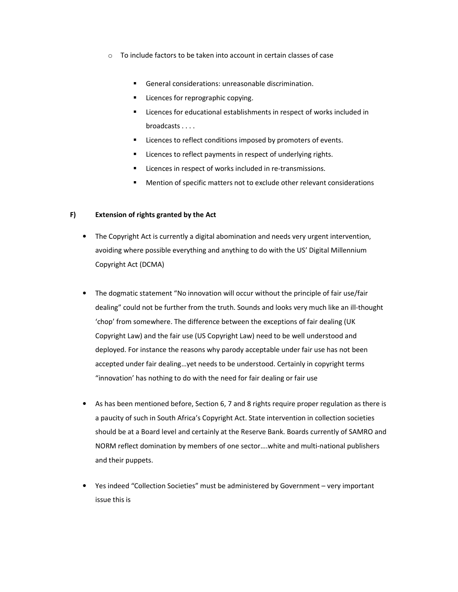- $\circ$  To include factors to be taken into account in certain classes of case
	- General considerations: unreasonable discrimination.
	- Licences for reprographic copying.
	- Licences for educational establishments in respect of works included in broadcasts . . . .
	- Licences to reflect conditions imposed by promoters of events.
	- Licences to reflect payments in respect of underlying rights.
	- **EXEC** Licences in respect of works included in re-transmissions.
	- Mention of specific matters not to exclude other relevant considerations

### **F) Extension of rights granted by the Act**

- The Copyright Act is currently a digital abomination and needs very urgent intervention, avoiding where possible everything and anything to do with the US' Digital Millennium Copyright Act (DCMA)
- The dogmatic statement "No innovation will occur without the principle of fair use/fair dealing" could not be further from the truth. Sounds and looks very much like an ill-thought 'chop' from somewhere. The difference between the exceptions of fair dealing (UK Copyright Law) and the fair use (US Copyright Law) need to be well understood and deployed. For instance the reasons why parody acceptable under fair use has not been accepted under fair dealing…yet needs to be understood. Certainly in copyright terms "innovation' has nothing to do with the need for fair dealing or fair use
- As has been mentioned before, Section 6, 7 and 8 rights require proper regulation as there is a paucity of such in South Africa's Copyright Act. State intervention in collection societies should be at a Board level and certainly at the Reserve Bank. Boards currently of SAMRO and NORM reflect domination by members of one sector….white and multi-national publishers and their puppets.
- Yes indeed "Collection Societies" must be administered by Government very important issue this is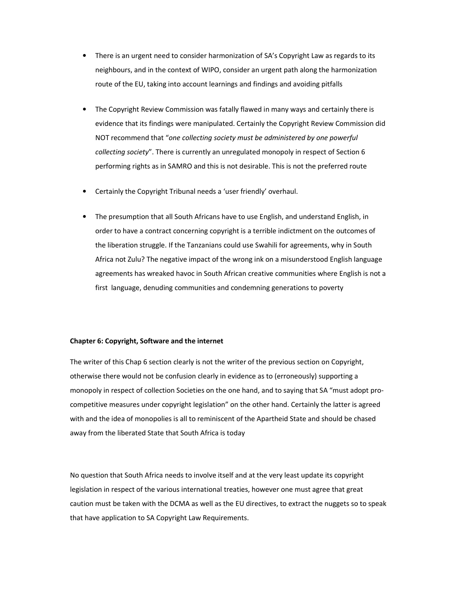- There is an urgent need to consider harmonization of SA's Copyright Law as regards to its neighbours, and in the context of WIPO, consider an urgent path along the harmonization route of the EU, taking into account learnings and findings and avoiding pitfalls
- The Copyright Review Commission was fatally flawed in many ways and certainly there is evidence that its findings were manipulated. Certainly the Copyright Review Commission did NOT recommend that "*one collecting society must be administered by one powerful collecting society*". There is currently an unregulated monopoly in respect of Section 6 performing rights as in SAMRO and this is not desirable. This is not the preferred route
- Certainly the Copyright Tribunal needs a 'user friendly' overhaul.
- The presumption that all South Africans have to use English, and understand English, in order to have a contract concerning copyright is a terrible indictment on the outcomes of the liberation struggle. If the Tanzanians could use Swahili for agreements, why in South Africa not Zulu? The negative impact of the wrong ink on a misunderstood English language agreements has wreaked havoc in South African creative communities where English is not a first language, denuding communities and condemning generations to poverty

#### **Chapter 6: Copyright, Software and the internet**

The writer of this Chap 6 section clearly is not the writer of the previous section on Copyright, otherwise there would not be confusion clearly in evidence as to (erroneously) supporting a monopoly in respect of collection Societies on the one hand, and to saying that SA "must adopt procompetitive measures under copyright legislation" on the other hand. Certainly the latter is agreed with and the idea of monopolies is all to reminiscent of the Apartheid State and should be chased away from the liberated State that South Africa is today

No question that South Africa needs to involve itself and at the very least update its copyright legislation in respect of the various international treaties, however one must agree that great caution must be taken with the DCMA as well as the EU directives, to extract the nuggets so to speak that have application to SA Copyright Law Requirements.